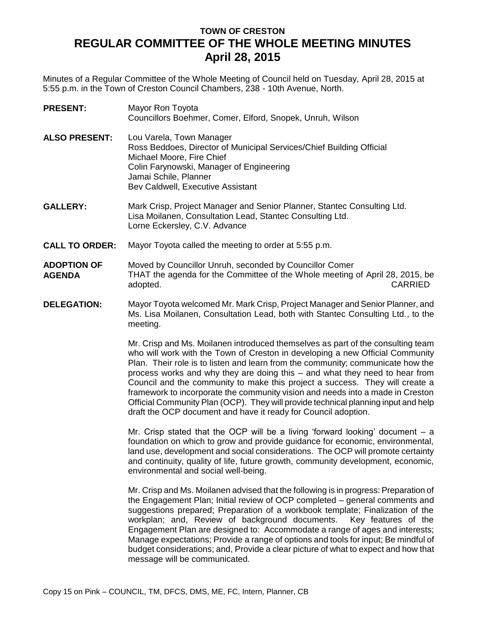## **TOWN OF CRESTON REGULAR COMMITTEE OF THE WHOLE MEETING MINUTES April 28, 2015**

Minutes of a Regular Committee of the Whole Meeting of Council held on Tuesday, April 28, 2015 at 5:55 p.m. in the Town of Creston Council Chambers, 238 - 10th Avenue, North.

| <b>PRESENT:</b>      | Mayor Ron Toyota<br>Councillors Boehmer, Comer, Elford, Snopek, Unruh, Wilson                                                 |
|----------------------|-------------------------------------------------------------------------------------------------------------------------------|
| <b>ALSO PRESENT:</b> | Lou Varela, Town Manager<br>Ross Beddoes, Director of Municipal Services/Chief Building Official<br>Michael Moore, Fire Chief |
|                      | Colin Farynowski, Manager of Engineering                                                                                      |
|                      | Jamai Schile, Planner                                                                                                         |
|                      | Bev Caldwell, Executive Assistant                                                                                             |

- **GALLERY:** Mark Crisp, Project Manager and Senior Planner, Stantec Consulting Ltd. Lisa Moilanen, Consultation Lead, Stantec Consulting Ltd. Lorne Eckersley, C.V. Advance
- **CALL TO ORDER:** Mayor Toyota called the meeting to order at 5:55 p.m.
- **ADOPTION OF AGENDA** Moved by Councillor Unruh, seconded by Councillor Comer THAT the agenda for the Committee of the Whole meeting of April 28, 2015, be adopted. CARRIED
- **DELEGATION:** Mayor Toyota welcomed Mr. Mark Crisp, Project Manager and Senior Planner, and Ms. Lisa Moilanen, Consultation Lead, both with Stantec Consulting Ltd., to the meeting.

Mr. Crisp and Ms. Moilanen introduced themselves as part of the consulting team who will work with the Town of Creston in developing a new Official Community Plan. Their role is to listen and learn from the community; communicate how the process works and why they are doing this – and what they need to hear from Council and the community to make this project a success. They will create a framework to incorporate the community vision and needs into a made in Creston Official Community Plan (OCP). They will provide technical planning input and help draft the OCP document and have it ready for Council adoption.

Mr. Crisp stated that the OCP will be a living 'forward looking' document – a foundation on which to grow and provide guidance for economic, environmental, land use, development and social considerations. The OCP will promote certainty and continuity, quality of life, future growth, community development, economic, environmental and social well-being.

Mr. Crisp and Ms. Moilanen advised that the following is in progress: Preparation of the Engagement Plan; Initial review of OCP completed – general comments and suggestions prepared; Preparation of a workbook template; Finalization of the workplan; and, Review of background documents. Key features of the Engagement Plan are designed to: Accommodate a range of ages and interests; Manage expectations; Provide a range of options and tools for input; Be mindful of budget considerations; and, Provide a clear picture of what to expect and how that message will be communicated.